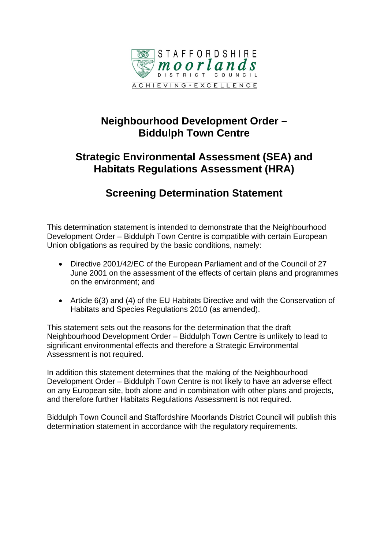

# **Neighbourhood Development Order – Biddulph Town Centre**

# **Strategic Environmental Assessment (SEA) and Habitats Regulations Assessment (HRA)**

# **Screening Determination Statement**

This determination statement is intended to demonstrate that the Neighbourhood Development Order – Biddulph Town Centre is compatible with certain European Union obligations as required by the basic conditions, namely:

- Directive 2001/42/EC of the European Parliament and of the Council of 27 June 2001 on the assessment of the effects of certain plans and programmes on the environment; and
- Article 6(3) and (4) of the EU Habitats Directive and with the Conservation of Habitats and Species Regulations 2010 (as amended).

This statement sets out the reasons for the determination that the draft Neighbourhood Development Order – Biddulph Town Centre is unlikely to lead to significant environmental effects and therefore a Strategic Environmental Assessment is not required.

In addition this statement determines that the making of the Neighbourhood Development Order – Biddulph Town Centre is not likely to have an adverse effect on any European site, both alone and in combination with other plans and projects, and therefore further Habitats Regulations Assessment is not required.

Biddulph Town Council and Staffordshire Moorlands District Council will publish this determination statement in accordance with the regulatory requirements.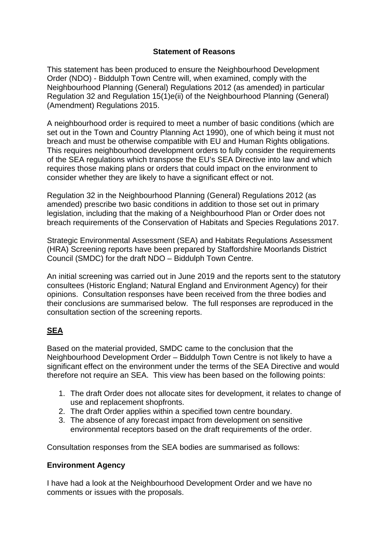#### **Statement of Reasons**

This statement has been produced to ensure the Neighbourhood Development Order (NDO) - Biddulph Town Centre will, when examined, comply with the Neighbourhood Planning (General) Regulations 2012 (as amended) in particular Regulation 32 and Regulation 15(1)e(ii) of the Neighbourhood Planning (General) (Amendment) Regulations 2015.

A neighbourhood order is required to meet a number of basic conditions (which are set out in the Town and Country Planning Act 1990), one of which being it must not breach and must be otherwise compatible with EU and Human Rights obligations. This requires neighbourhood development orders to fully consider the requirements of the SEA regulations which transpose the EU's SEA Directive into law and which requires those making plans or orders that could impact on the environment to consider whether they are likely to have a significant effect or not.

Regulation 32 in the Neighbourhood Planning (General) Regulations 2012 (as amended) prescribe two basic conditions in addition to those set out in primary legislation, including that the making of a Neighbourhood Plan or Order does not breach requirements of the Conservation of Habitats and Species Regulations 2017.

Strategic Environmental Assessment (SEA) and Habitats Regulations Assessment (HRA) Screening reports have been prepared by Staffordshire Moorlands District Council (SMDC) for the draft NDO – Biddulph Town Centre.

An initial screening was carried out in June 2019 and the reports sent to the statutory consultees (Historic England; Natural England and Environment Agency) for their opinions. Consultation responses have been received from the three bodies and their conclusions are summarised below. The full responses are reproduced in the consultation section of the screening reports.

## **SEA**

Based on the material provided, SMDC came to the conclusion that the Neighbourhood Development Order – Biddulph Town Centre is not likely to have a significant effect on the environment under the terms of the SEA Directive and would therefore not require an SEA. This view has been based on the following points:

- 1. The draft Order does not allocate sites for development, it relates to change of use and replacement shopfronts.
- 2. The draft Order applies within a specified town centre boundary.
- 3. The absence of any forecast impact from development on sensitive environmental receptors based on the draft requirements of the order.

Consultation responses from the SEA bodies are summarised as follows:

#### **Environment Agency**

I have had a look at the Neighbourhood Development Order and we have no comments or issues with the proposals.